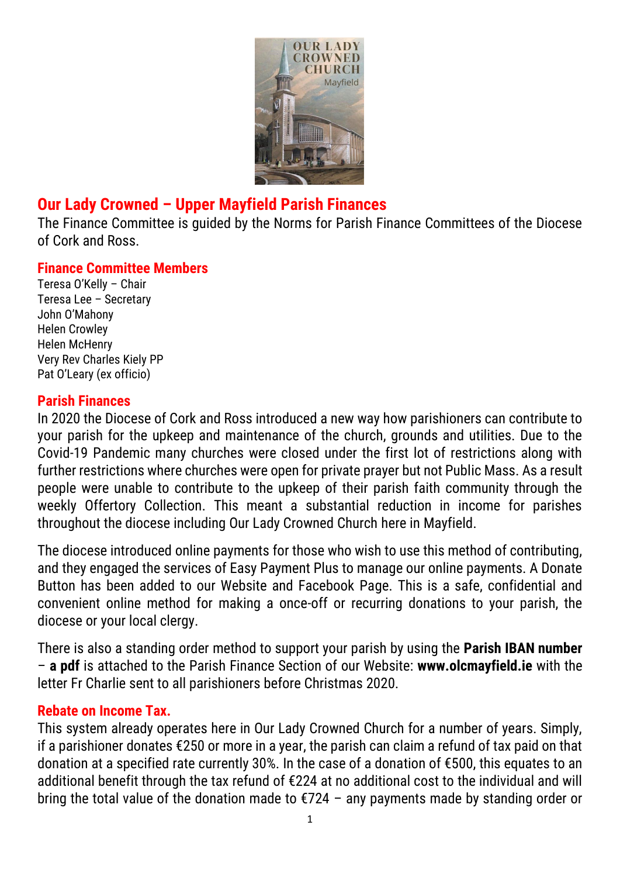

## **Our Lady Crowned – Upper Mayfield Parish Finances**

The Finance Committee is guided by the Norms for Parish Finance Committees of the Diocese of Cork and Ross.

#### **Finance Committee Members**

Teresa O'Kelly – Chair Teresa Lee – Secretary John O'Mahony Helen Crowley Helen McHenry Very Rev Charles Kiely PP Pat O'Leary (ex officio)

#### **Parish Finances**

In 2020 the Diocese of Cork and Ross introduced a new way how parishioners can contribute to your parish for the upkeep and maintenance of the church, grounds and utilities. Due to the Covid-19 Pandemic many churches were closed under the first lot of restrictions along with further restrictions where churches were open for private prayer but not Public Mass. As a result people were unable to contribute to the upkeep of their parish faith community through the weekly Offertory Collection. This meant a substantial reduction in income for parishes throughout the diocese including Our Lady Crowned Church here in Mayfield.

The diocese introduced online payments for those who wish to use this method of contributing, and they engaged the services of Easy Payment Plus to manage our online payments. A Donate Button has been added to our Website and Facebook Page. This is a safe, confidential and convenient online method for making a once-off or recurring donations to your parish, the diocese or your local clergy.

There is also a standing order method to support your parish by using the **Parish IBAN number** – **a pdf** is attached to the Parish Finance Section of our Website: **www.olcmayfield.ie** with the letter Fr Charlie sent to all parishioners before Christmas 2020.

#### **Rebate on Income Tax.**

This system already operates here in Our Lady Crowned Church for a number of years. Simply, if a parishioner donates €250 or more in a year, the parish can claim a refund of tax paid on that donation at a specified rate currently 30%. In the case of a donation of €500, this equates to an additional benefit through the tax refund of €224 at no additional cost to the individual and will bring the total value of the donation made to €724 – any payments made by standing order or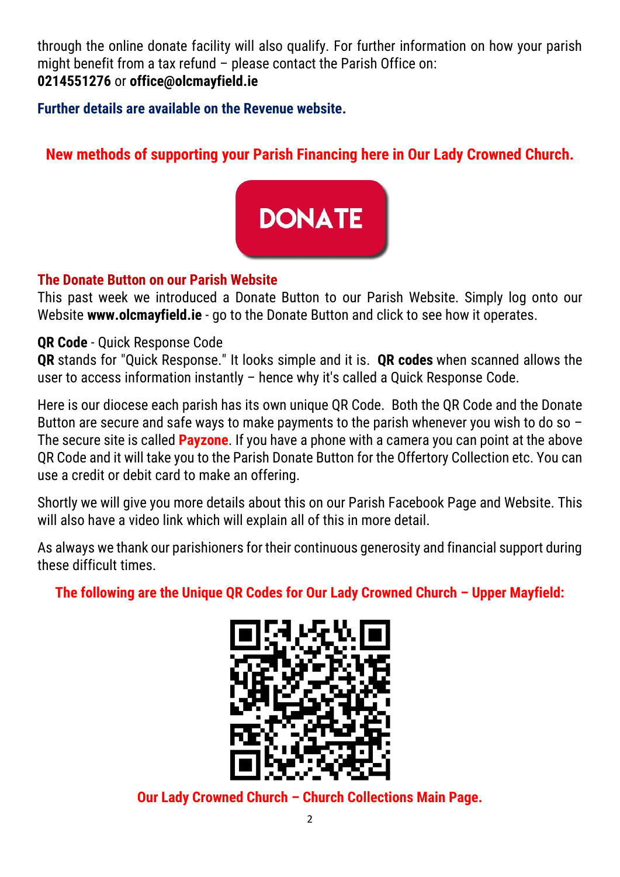through the online donate facility will also qualify. For further information on how your parish might benefit from a tax refund – please contact the Parish Office on: **0214551276** or **office@olcmayfield.ie**

**Further details are available on the [Revenue](https://www.revenue.ie/en/companies-and-charities/charities-and-sports-bodies/charitable-donation-scheme/who-can-claim-the-relief.aspx) website.**

# **New methods of supporting your Parish Financing here in Our Lady Crowned Church.**



## **The Donate Button on our Parish Website**

This past week we introduced a Donate Button to our Parish Website. Simply log onto our Website **www.olcmayfield.ie** - go to the Donate Button and click to see how it operates.

## **QR Code** - Quick Response Code

**QR** stands for "Quick Response." It looks simple and it is. **QR codes** when scanned allows the user to access information instantly – hence why it's called a Quick Response Code.

Here is our diocese each parish has its own unique QR Code. Both the QR Code and the Donate Button are secure and safe ways to make payments to the parish whenever you wish to do so  $-$ The secure site is called **Payzone**. If you have a phone with a camera you can point at the above QR Code and it will take you to the Parish Donate Button for the Offertory Collection etc. You can use a credit or debit card to make an offering.

Shortly we will give you more details about this on our Parish Facebook Page and Website. This will also have a video link which will explain all of this in more detail.

As always we thank our parishioners for their continuous generosity and financial support during these difficult times.

**The following are the Unique QR Codes for Our Lady Crowned Church – Upper Mayfield:**



**Our Lady Crowned Church – Church Collections Main Page.**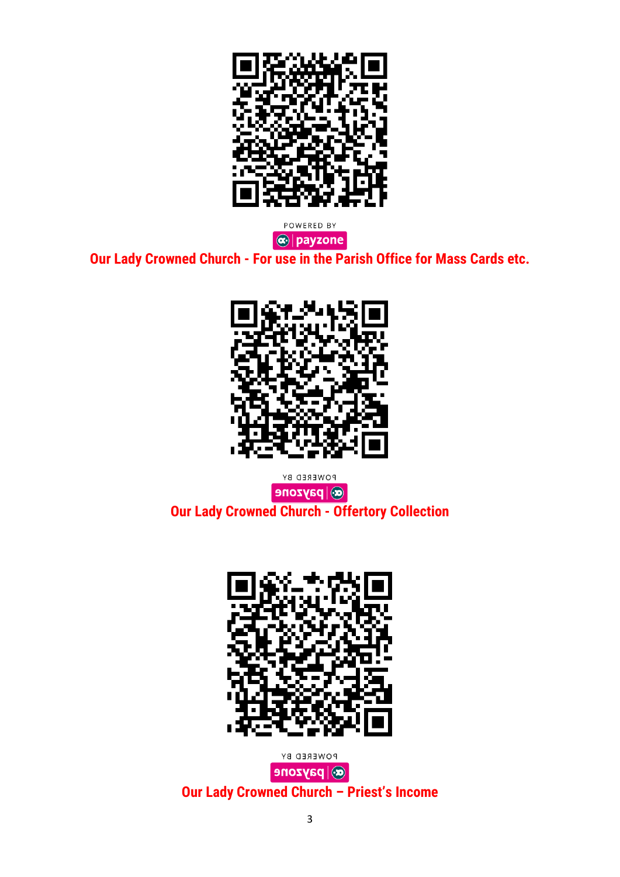

 $\boxed{\textcircled{\textbf{e}}$  | payzone | **Our Lady Crowned Church - For use in the Parish Office for Mass Cards etc.**



POWERED BY  $\overline{\text{C}}$  payzone **Our Lady Crowned Church - Offertory Collection**



POWERED BY  $\left|\mathbf{\Theta}\right|$  payzone **Our Lady Crowned Church – Priest's Income**